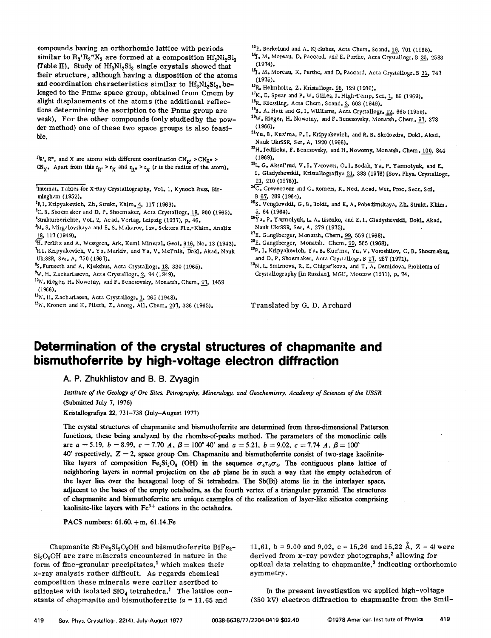compounds having an orthorhomlc lattice with periods similar to  $R_3'R_2''X_3$  are formed at a composition  $Hf_3Ni_2Si_3$ (Table II). Study of  $Hf_3Ni_2Si_3$  single crystals showed that their structure, although having a disposition of the atoms and coordination characteristics similar to  $Hf_3Ni_2Si_3$ , belonged to the Pnma space group, obtained from Cmcm by slight displacements of the atoms (the additional reflections determining the ascription to the *Pnma* group are weak). For the other compounds (only studied by the powder method) one of these two space groups is also feasible.

<sup>1</sup> $R$ ,  $R$ <sup>\*</sup>, and X are atoms with different coordination CN<sub>R</sub>. > CN<sub>R</sub>\* > CN<sub>X</sub>. Apart from this  $r_R$ ,  $>r_X$  and  $r_{R}$ ,  $r_X$  (r is the radius of the atom).

- Internat. Tables for X-Ray Crystallography, Vol. 1, Kynoch Press, Birmingham (1952).
- <sup>2</sup>P.I. Kripyakevich, Zh. Strukt. Khim. 4, 117 (1963).
- $^3$ C. B. Shoemaker and D. P. Shoemaker, Acta Crystallogr. 18, 900 (1965). 'StruktUrberichte, Vol. 2, Acad. Verlag, Leipzig (1937), p.46.
- ~1. S. Mirgalovskaya and E. S. Makarov.lzv. Sektora Fiz.-Khim. Analiz 18, 117 (1949).
- $^{6}$ H. Perlitz and A. Westgren. Ark. Kemi Mineral. Geol. B16, No. 13 (1943). <sup>7</sup>P. I. Kripyakevich, V. Ya. Markiv, and Ya. V. Mel'nik, Dokl. Akad. Nauk
- UkrSSR, Ser. A, 750 (1967).

<sup>8</sup>S. Furuseth and A. Kjekshus, Acta Crystallogr. 18, 330 (1965).

- <sup>9</sup>W. H. Zachariasevn, Acta Crystallogr. 2, 94 (1949).
- 10w. Rieger, H. Nowotny, and F. Benesovsky, Monatsh. Chem. 97, 1459 (1966).
- $\frac{11}{W}$ . H. Zachariasen, Acta Crystallogr. 1, 265 (1948).
- $12$ W. Kronert and K. Plieth, Z. Anorg. All. Chem. 207, 336 (1965).
- 13E. Berkelund and A. Kjekshus, Acta Chem. Scand. 19, 701 (1965).
- <sup>14</sup>J. M. Moreau, D. Paccard, and E. Parthe, Acta Crystallogr. B 30, 2583<br>(1974).
- <sup>13</sup>J. M. Moreau. K. Parthe, and D. Paccard, Acta Crystallogr. B 31, 747<br>(1975).
- 16R. Helmholtz, Z. Kristallogr. 95, 129 (1936).
- $17K$ . E. Spear and P. W. Gilles, J. High-Temp. Sci. 1, 86 (1969).
- 18R. Kiessling, Acta Chem. Scand. 3, 603 (1949).
- $^{19}$ B. A. Hatt and G. I. Williams, Acta Crystallogr. 12, 665 (1959).
- <sup>24</sup>W. Rieger, H. Nowotny, and F. Benesovsky, Monatsh. Chem. <u>97,</u> 378<br>(1966).
- 21Yu. B. Kuz'ma, P. I. Kripyakevich, and R. B. Skolozdra, Dokl. Akad. Nauk UkrSSR, Ser. A, 1920 (1966).
- <sup>22</sup>H. Jedlicka, F. Benesovsky, and H. Nowotny, Monatsh. Chem. <u>100</u>, 844<br>(1969).
- 23<sub>L</sub>, G. Aksel'rud, V.I. Yarovets, O.I. Bodak, Ya. P. Yarmolyuk, and E. I. Gladyshevskii, Kristallografiya 21, 383 (1976) [Sov. Phys. Crystallogr. 21, 210 (1976)].
- 24C. Crevecoeur and C. Romers, K. Ned. Acad. Wet. Proc. Sect. Sci. B 67, 289 (1964).
- <sup>25</sup>S. Venglovskii, G. B. Bokii, and E. A. Pobedimskaya, Zh. Strukt. Khim. 5, 64 (1964).
- Z6Ya. p. Y arm 01yuk, 1.. A. Iisenko, and E.I. Gladyshevskii, Dokl. Akad. Nauk UkrSSR, Ser, A, 279 (1975).
- <sup>27</sup>E. Ganglberger, Monatsh. Chem. 99, 559 (1968).
- <sup>28</sup>E. Ganglberger. Monatsh. Chem. 99, 565 (1968).
- 29p. I. Kripyakevich, Ya. B. Kuz'ma, Yu. V. Voroshilov, C. B. Shoemaker. and D. P. Shoemaker, Acta Crystallogr. B 27, 257 (1971).
- 30<sub>N.</sub> L. Smirnova, R. E. Chigar'kova, and T. A. Demidova, Problems of Crystallography [in Russian], MGU, Moscow (1971), p. 74.

Translated by G. D. Archard

## **Determination of the crystal structures of chapmanite and bismuthoferrite by high-voltage electron diffraction**

A. P. **Zhukhlistov and** B. B. **Zvyagin**

Institute of the Geology of Ore Sites, Petrography, Mineralogy, and Geochemistry, Academy of Sciences of the USSR (Submitted July 7, 1976)

Kristallografiya 22, 731-738 (July-August 1977)

The crystal structures of chapmanite and bismuthoferrite are determined from three-dimensional Patterson functions, these being analyzed by the rhombs-of-peaks method. The parameters of the monoclinic cells are  $a = 5.19$ ,  $b = 8.99$ ,  $c = 7.70$  *A*,  $\beta = 100^{\circ}$  40' and  $a = 5.21$ ,  $b = 9.02$ ,  $c = 7.74$  *A*,  $\beta = 100^{\circ}$  $40'$  respectively,  $Z = 2$ , space group Cm. Chapmanite and bismuthoferrite consist of two-stage kaolinitelike layers of composition Fe<sub>2</sub>Si<sub>2</sub>O<sub>8</sub> (OH) in the sequence  $\sigma_6\tau_0\sigma_6$ . The contiguous plane lattice of neighboring layers in normal projection on the *ab* plane lie in such a way that the empty octahedron of the layer lies over the hexagonal loop of Si tetrahedra. The Sb(Bi) atoms lie in the interlayer space, adjacent to the bases of the empty octahedra, as the fourth vertex of a triangular pyramid. The structures of chapmanite and bismuthoferrite are unique examples of the realization of layer-like silicates comprising kaolinite-like layers with  $Fe<sup>3+</sup>$  cations in the octahedra.

PACS numbers: 61.60.+m, 61.14.Fe

Chapmanite  $SbFe<sub>2</sub>Si<sub>2</sub>O<sub>8</sub>OH$  and bismuthoferrite BiFe<sub>2</sub>- $Si<sub>2</sub>O<sub>9</sub>OH$  are rare minerals encountered in nature in the form of fine-granular precipitates,<sup>1</sup> which makes their x-ray analysis rather difficult. As regards chemical composition these minerals were earlier ascribed to silicates with isolated  $SiO_4$  tetrahedra.<sup>1</sup> The lattice constants of chapmanite and bismuthoferrite  $(a = 11.65$  and

11.61, b = 9.00 and 9.02, c = 15.26 and 15.22 Å, Z = 4) were derived from x-ray powder photographs,<sup>2</sup> allowing for derived from x-ray powder photographs,<sup>2</sup> allowing for optical data relating to chapmanite, $3$  indicating orthorhomic symmetry.

In the present investigation we applied high-voltage (350 kV) electron diffraction to chapmanite from the Smil-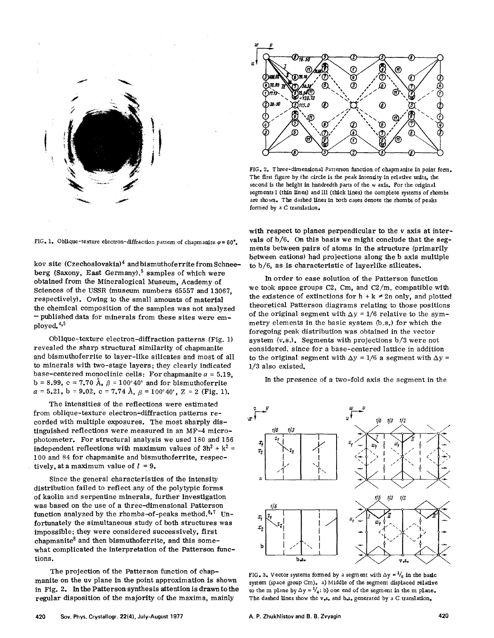

FIG. 1. Oblique-texture electron-diffraction pattern of chapmanite  $\varphi= 60^\circ$ .

kov site (Czechoslovakia)<sup>4</sup> and bismuthoferrite from Schneeberg (Saxony, East Germany),<sup>5</sup> samples of which were obtained from the Mineralogical Museum, Academy of Sciences of the USSR (museum numbers 65557 and 13067, respectively). Owing to the small amounts of material the chemical composition of the samples was not analyzed - published data for minerals from these sites were employed.<sup>4,5</sup>

Oblique-texture electron-diffraction patterns (Fig. 1) revealed the sharp structural similarity of chapmanite and bismuthoferrite to layer-like silicates and most of all to minerals with two-stage layers; they clearly indicated base-centered monoclinic cells: For chapmanite  $a = 5.19$ ,  $b = 8.99$ ,  $c = 7.70$   $\AA$ ,  $\beta = 100^{\circ}40'$  and for bismuthoferrite  $a = 5.21$ ,  $b = 9.02$ ,  $c = 7.74$   $\text{\AA}$ ,  $\beta = 100^{\circ}40$ ',  $\text{Z} = 2$  (Fig. 1).

The intensities of the reflections were estimated from oblique-texture electron-diffraction patterns recorded with multiple exposures. The most sharply distinguished reflections were measured in an MF-4 microphotometer. For structural analysis we used 180 and 156 independent reflections with maximum values of  $3h^2 + k^2 =$ 100 and 84 for chapmanite and bismuthoferrite, respectively, at a maximum value of  $l = 9$ .

Since the general characteristics of the intensity distribution failed to reflect any of the polytypic forms of kaolin and serpentine minerals, further investigation was based on the use of a three-dimensional Patterson function analyzed by the rhombs-of-peaks method.<sup>6,7</sup> Unfortunately the simultaneous study of both structures was impossible; they were considered successively, first chapmanite<sup>8</sup> and then bismuthoferrite, and this somewhat complicated the interpretation of the Patterson functions.

The projection of the Patterson function of chapmanite on the uv plane in the point approximation is shown in Fig. 2. In the Patterson synthesis attention is drawn to the regular disposition of the majority of the maxima, mainly



FIG. 2. Three-dimensional Patterson function of chapmanite in point form. The first figure by the circle is the peak intensity in relative units, the second is the height in hundredth parts of the w axis. For the original segments I (thin lines) and III (thick lines) the complete systems of rbombs are shown. The dashed lines in both cases denote the rhombs of peaks formed by a C translation.

with respect to planes perpendicular to the v axis at intervals of *b/6.* On this basis we might conclude that the segments between pairs of atoms in the structure (primarily between cations) had projections along the b axis multiple to *b/6,* as is characteristic of layerlike silicates.

In order to ease solution of the Patterson function we took space groups C2, Cm, and *C2/m,* compatible with the existence of extinctions for  $h + k \neq 2n$  only, and plotted the expectation theoretical Patterson diagrams relating to those positions of the original segment with  $\Delta y = 1/6$  relative to the symmetry elements in the basic system (b.s.) for which the foregoing peak distribution was obtained in the vector system (v.s.). Segments with projections *b/3* were not considered, since for a base-centered lattice in addition to the original segment with  $\Delta y = 1/6$  a segment with  $\Delta y =$ *1/3* also existed.

In the presence of a two-fold axis the segment in the



FIG. 3. Vector systems formed by a segment with  $\Delta y = \frac{1}{6}$  in the basic system (space group Cm). a) Middle of the segment displaced relative to the m plane by  $\Delta y = \frac{1}{4}$ ; b) one end of the segment in the m plane. The dashed lines show the v.s. and b.s. generated by a C translation.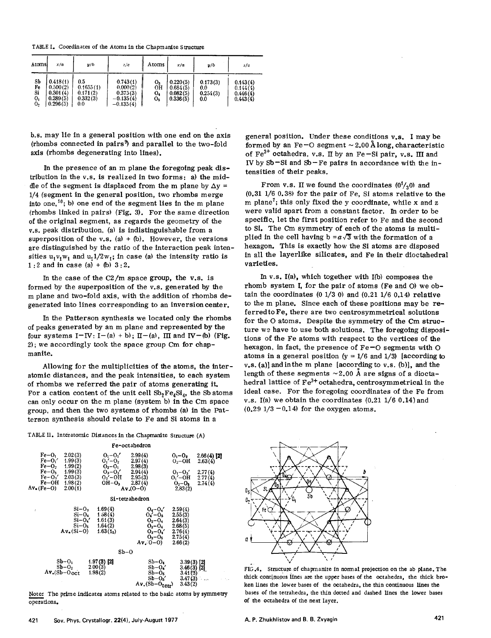TABLE I. Coordinates of the Atoms in the Chapmanite Structure

| Atoms                      | x/a                                                      | y/b                                             | z/c                                                            | Atoms                | x/a                                          | y/b                                | z/c                                          |
|----------------------------|----------------------------------------------------------|-------------------------------------------------|----------------------------------------------------------------|----------------------|----------------------------------------------|------------------------------------|----------------------------------------------|
| Sb<br>Fe<br>Si<br>0,<br>0, | 0.418(1)<br>0.500(2)<br>0.301(4)<br>0.289(5)<br>0.296(5) | 0.5<br>0.1655(1)<br>0.171(2)<br>0.332(3)<br>0.0 | 0.743(1)<br>0.000(2)<br>0.375(3)<br>$-0.135(4)$<br>$-0.135(4)$ | о,<br>OН<br>о.<br>O5 | 0.220(5)<br>0.684(5)<br>0.082(5)<br>0.336(5) | 0.173(3)<br>0.0<br>0.254(3)<br>0.0 | 0.143(4)<br>0.144(4)<br>0.446(4)<br>0.443(4) |

b.s. may lie in a general position with one end on the axis (rhombs connected in pairs9) and parallel to the two-fold axis (rhombs degenerating into lines).

In the presence of an m plane the foregoing peak distribution in the V.s. is realized in two forms: a) the middle of the segment is displaced from the m plane by  $\Delta v =$ 1/4 (segment in the general position, two rhombs merge into one,  $^{10}$ ; b) one end of the segment lies in the m plane (rhombs linked in pairs) (Fig. 3). For the same direction of the original segment, as regards the geometry of the V.s. peak distribution. (a) is indistinguishable from a superposition of the v.s. (a) + (b). However, the versions are distinguished by the ratio of the interaction peak intensities  $u_1v_1w_1$  and  $u_11/2w_1$ ; in case (a) the intensity ratio is 1:2 and in case  $(a) + (b) 3:2$ .

In the case of the C2/m space group, the v.s. is formed by the superposition of the v.s. generated by the m plane and two-fold axis, with the addition of rhombs degenerated into lines corresponding to an inversion center.

In the Patterson synthesis we located only the rhombs of peaks generated by an m plane and represented by the four systems  $I-IV: I-(a) + b$ ;  $II-(a)$ ,  $III$  and  $IV-(b)$  (Fig. 2); we accordingly took the space group Cm for chapmanite.

Allowing for the multiplicities of the atoms, the interatomic distances, and the peak intensities, to each system of rhombs we referred the pair of atoms generating it. For a cation content of the unit cell  $Sb_2Fe_4Si_4$ , the Sb atoms can only occur on the m plane (system b) in the Cm space group, and then the two systems of rhombs (a) in the Patterson synthesis should relate to Fe and Si atoms in a

TABLE II. Interatomic Distances in the Chapmanite Structure (A)



Note: The prime indicates atoms related to the basic atoms by symmetry operations.

general position. Under these conditions v.s. I may be formed by an Fe-O segment  $\sim$  2.00 Å long, characteristic of  $Fe^{3+}$  octahedra, v.s.  $\Pi$  by an Fe-Si pair, v.s.  $\Pi$  and IV by Sb-Si and Sb-Fe pairs in accordance with the intensities of their peaks.

From v.s. II we found the coordinates  $(0<sup>1</sup>/<sub>2</sub>0)$  and (0.31 1/6 0.38) for the pair of Fe, Si atoms relative to the m plane<sup>7</sup>; this only fixed the y coordinate, while x and z were valid apart from a constant factor. In order to be specific, let the first position refer to Fe and the second to Si. The Cm symmetry of each of the atoms is multiplied in the cell having  $b = a\sqrt{3}$  with the formation of a hexagon. This is exactly how the Si atoms are disposed in all the layerlike silicates, and Fe in their dioctahedral varieties.

In v.s. I(a), which together with I(b) composes the rhomb system I, for the pair of atoms (Fe and 0) we obtain the coordinates  $(0\ 1/3\ 0)$  and  $(0.21\ 1/6\ 0.14)$  relative to the m plane. Since each of these positions may be referred to Fe, there are two centrosymmetrical solutions for the 0 atoms. Despite the symmetry of the Cm structure we have to use both solutions. The foregoing dispositions of the Fe atoms with respect to the vertices of the hexagon, in fact, the presence of  $Fe-O$  segments with  $O$ atoms in a general position  $(y = 1/6$  and  $1/3$ ) [according to  $v,s.$  (a)] and in the m plane [according to  $v,s.$  (b)], and the length of these segments  $\sim$  2.00 Å are signs of a dioctahedral lattice of  $Fe^{3+}$  octahedra, centrosymmetrical in the ideal case. For the foregoing coordinates of the Fe from v.s. I(a) we obtain the coordinates  $(0.21 \; 1/6 \; 0.14)$  and  $(0.29\ 1/3\ -0.14)$  for the oxygen atoms.



FIG.4. Structure of chapmanite in normal projection on the ab plane. The thick continuous lines are the upper bases of the octahedra, the thick broken lines the lower bases of the octahedra, the thin continuous lines the bases of the tetrahedra, the thin dotted and dashed lines the lower bases of the octahedra of the next layer.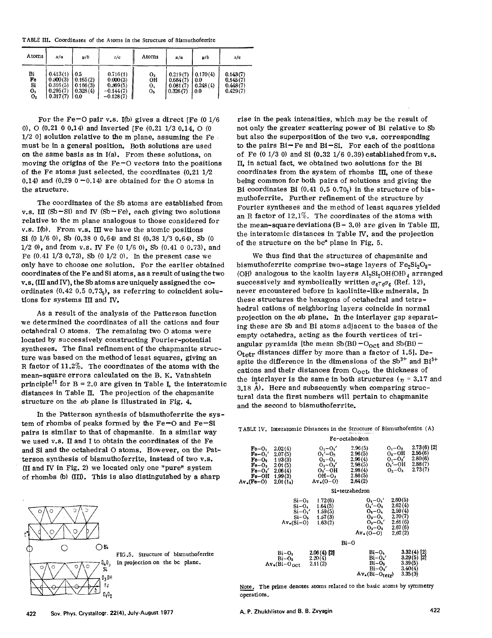TABLE III. Coordinates of the Atoms in the Structure of Bismuthoferrite

| Atoms                      | x/a                                                      | y/b                                            | z/c                                                            | Atoms                | x/a                                          | y/b                                 | z/c                                          |
|----------------------------|----------------------------------------------------------|------------------------------------------------|----------------------------------------------------------------|----------------------|----------------------------------------------|-------------------------------------|----------------------------------------------|
| Bi<br>Fe<br>Si<br>0,<br>Ο2 | 0.413(1)<br>0.500(3)<br>0.316(5)<br>0.295(7)<br>0.317(7) | 0.5<br>0.165(2)<br>0.166(3)<br>0.328(4)<br>0.0 | 0.716(1)<br>0.000(3)<br>0.369(5)<br>$-0.144(7)$<br>$-0.128(7)$ | 0,<br>OН<br>0.<br>о, | 0.219(7)<br>0.684(7)<br>0.081(7)<br>0.326(7) | 0.170(4)<br>-0.0<br>0.248(4)<br>0.0 | 0.143(7)<br>0.145(7)<br>0.448(7)<br>0.429(7) |

For the Fe-O pair v.s. I(b) gives a direct IFe  $(0.1/6$ 0),  $\Omega$  (0.21 0 0.14) and inverted [Fe (0.21 1/3 0.14,  $\Omega$  (0)  $1/2$  0] solution relative to the m plane, assuming the Fe must be in a general position. Both solutions are used on the same basis as in I(a). From these solutions, on moving the origins of the  $Fe-O$  vectors into the positions of the Fe atoms just selected, the coordinates  $(0.21\;1/2)$ 0.14) and (0.29  $0 - 0.14$ ) are obtained for the O atoms in the structure.

The coordinates of the Sb atoms are established from v.s. III (Sb-Si) and IV (Sb-Fe), each giving two solutions relative to the m plane analogous to those considered for v.s. I(b). From v.s. III we have the atomic positions Si (0 1/6 0), Sb (0,38 0 0,64) and Si (0,38 1/3 0,64), Sb (0  $1/2$  0), and from v.s. IV Fe (0 1/6 0), Sb (0.41 0 0.73), and Fe  $(0.41 \frac{1}{3} \, 0.73)$ , Sb  $(0 \frac{1}{2} \, 0)$ . In the present case we only have to choose one solution. For the earlier obtained coordinates of the Fe and Si atoms, as a result of using the two v.s. (III and IV), the Sb atoms are uniquely assigned the coordinates  $(0.42 0.5 0.73)$ , as referring to coincident solutions for systems III and IV.

As a result of the analysis of the Patterson function we determined the coordinates of all the cations and four octahedral O atoms. The remaining two O atoms were located by successively constructing Fourier-potential syntheses. The final refinement of the chapmanite structure was based on the method of least squares, giving an R factor of 11.2%. The coordinates of the atoms with the mean-square errors calculated on the B. K. Vainshtein principle<sup>11</sup> for B = 2.0 are given in Table I, the interatomic distances in Table II. The projection of the chapmanite structure on the ab plane is illustrated in Fig. 4.

In the Patterson synthesis of bismuthoferrite the system of rhombs of peaks formed by the Fe-O and Fe-Si pairs is similar to that of chapmanite. In a similar way we used v.s. II and I to obtain the coordinates of the Fe and Si and the octahedral O atoms. However, on the Patterson synthesis of bismuthoferrite, instead of two v.s. (II and IV in Fig. 2) we located only one "pure" system of rhombs (b) (III). This is also distinguished by a sharp



FIG.5. Structure of bismuthoferrite in projection on the bc plane.

rise in the peak intensities, which may be the result of not only the greater scattering power of Bi relative to Sb but also the superposition of the two v.s. corresponding to the pairs  $Bi$ -Fe and  $Bi$ -Si. For each of the positions of Fe  $(0\ 1/3\ 0)$  and Si  $(0.32\ 1/6\ 0.39)$  established from v.s. II. in actual fact, we obtained two solutions for the Bi coordinates from the system of rhombs  $\Pi$ , one of these being common for both pairs of solutions and giving the Bi coordinates Bi  $(0.41\ 0.5\ 0.70)$  in the structure of bismuthoferrite. Further refinement of the structure by Fourier syntheses and the method of least squares yielded an R factor of  $12.1\%$ . The coordinates of the atoms with the mean-square deviations (B = 3.0) are given in Table III, the interatomic distances in Table IV, and the projection of the structure on the bc\* plane in Fig. 5.

We thus find that the structures of chapmanite and bismuthoferrite comprise two-stage layers of  $Fe_2Si_2O_8$ -(OH) analogous to the kaolin layers Al<sub>2</sub>Si<sub>2</sub>OH(OH)<sub>4</sub> arranged successively and symbolically written  $\sigma_{\beta \tau_0 \sigma_{\beta}}$  (Ref. 12), never encountered before in kaolinite-like minerals. In these structures the hexagons of octahedral and tetrahedral cations of neighboring layers coincide in normal projection on the ab plane. In the interlayer gap separating these are Sb and Bi atoms adjacent to the bases of the empty octahedra, acting as the fourth vertices of triangular pyramids [the mean  $Sb(Bi) - O_{oct}$  and  $Sb(Bi)$  – Otetr distances differ by more than a factor of 1.5]. Despite the difference in the dimensions of the  $\text{Sb}^{3+}$  and  $\text{Bi}^{3+}$ cations and their distances from Ooct, the thickness of the interlayer is the same in both structures ( $n = 3.17$  and 3.18  $\AA$ ). Here and subsequently when comparing structural data the first numbers will pertain to chapmanite and the second to bismuthoferrite.

|  |  |                                                             | TABLE IV. Interatomic Distances in the Structure of Bismuthoferrite (A) |  |
|--|--|-------------------------------------------------------------|-------------------------------------------------------------------------|--|
|  |  | considered the company's construction of the company's con- |                                                                         |  |

|                                                                                                                |                                                | Fe-octahedron                                                                                        |                                                                                                              |                                                                           |                                                           |
|----------------------------------------------------------------------------------------------------------------|------------------------------------------------|------------------------------------------------------------------------------------------------------|--------------------------------------------------------------------------------------------------------------|---------------------------------------------------------------------------|-----------------------------------------------------------|
| $Fe-O1$<br>$Fe-O1'$<br>$Fe-O2$ 193(3)<br>$Fe-O_3$ 2.01(5)<br>$Fe-O_3'$ 2.06(4)<br>$Fe-OH$ 1.99(3)<br>\v.(Fe-O) | 2.02(4)<br>2,07(5)<br>2.01(1 <sub>5</sub> )    | $O_1 - O_1'$<br>$O_1' - O_2$<br>$O_2 - O_1$<br>$O_3 - O_3'$<br>$O_3' - OH$<br>$OH-03$<br>$Av_*(0-0)$ | 2.96(5)<br>2.96(5)<br>2.96(4)<br>2.98(5)<br>2.98(4)<br>2.86(5)<br>2,84(2)                                    | $O_1 - O_3$<br>$O_2 - OH$<br>$O_1 - O_3'$<br>$O_1' - OH$<br>$O_2-O_3$     | $2.73(6)$ [2]<br>2.55(6)<br>2.80(6)<br>2.88(7)<br>2.73(7) |
|                                                                                                                |                                                |                                                                                                      | Si-tetrahedron                                                                                               |                                                                           |                                                           |
|                                                                                                                | $Si-O_3$<br>$Si-O_4$<br>$Av_{\bullet}(Si-O)$   | 172(6)<br>1.64(5)<br>$Si-O_4'$ 1.59(5)<br>$Si-O5$ 1.57(3)<br>1.63(2)                                 | $O_{k} - O_{k}$<br>$0_4 - 0_5$<br>$O_5 - O_4$<br>$0_{3}-0_{4}$<br>$O_3 - O_4'$<br>$O_3 - O_5$<br>$Av_*(0-0)$ | 2.60(5)<br>2.62(4)<br>2.59(4)<br>2.70(7)<br>2.81(6)<br>2.67(6)<br>2,67(2) |                                                           |
|                                                                                                                |                                                | Bi–O                                                                                                 |                                                                                                              |                                                                           |                                                           |
|                                                                                                                | Bi–O1<br>$Bi-O2$<br>$Av_{\bullet}(Bi-O_{oct})$ | $2.06(4)$ [2]<br>2.20(4)<br>2.11(2)                                                                  | Bi−O،<br>$Bi-O_{\star}$<br>Bi–Os<br>$Bi-0s'$<br>$Av_{\bullet}(Bi-O_{\text{terr}})$                           | 3.39(5)<br>3.40(4)<br>3.35(3)                                             | $3.32(4)$ [2]<br>$3.29(5)$ [2]                            |

Note. The prime denotes atoms related to the basic atoms by symmetry operations.